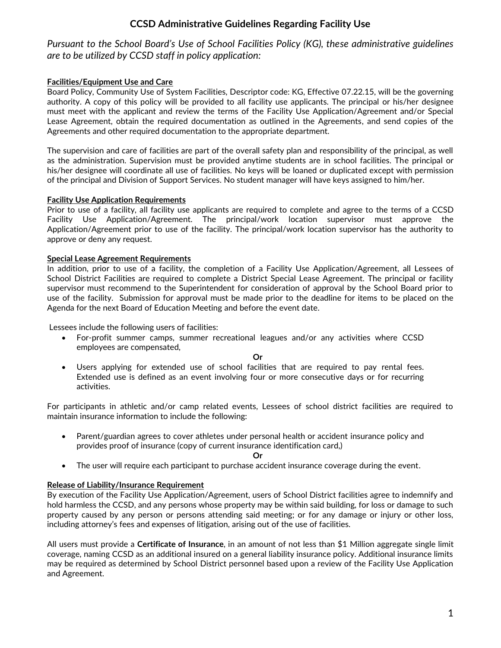*Pursuant to the School Board's Use of School Facilities Policy (KG), these administrative guidelines are to be utilized by CCSD staff in policy application:* 

## **Facilities/Equipment Use and Care**

Board Policy, Community Use of System Facilities, Descriptor code: KG, Effective 07.22.15, will be the governing authority. A copy of this policy will be provided to all facility use applicants. The principal or his/her designee must meet with the applicant and review the terms of the Facility Use Application/Agreement and/or Special Lease Agreement, obtain the required documentation as outlined in the Agreements, and send copies of the Agreements and other required documentation to the appropriate department.

The supervision and care of facilities are part of the overall safety plan and responsibility of the principal, as well as the administration. Supervision must be provided anytime students are in school facilities. The principal or his/her designee will coordinate all use of facilities. No keys will be loaned or duplicated except with permission of the principal and Division of Support Services. No student manager will have keys assigned to him/her.

## **Facility Use Application Requirements**

Prior to use of a facility, all facility use applicants are required to complete and agree to the terms of a CCSD Facility Use Application/Agreement. The principal/work location supervisor must approve the Application/Agreement prior to use of the facility. The principal/work location supervisor has the authority to approve or deny any request.

## **Special Lease Agreement Requirements**

In addition, prior to use of a facility, the completion of a Facility Use Application/Agreement, all Lessees of School District Facilities are required to complete a District Special Lease Agreement. The principal or facility supervisor must recommend to the Superintendent for consideration of approval by the School Board prior to use of the facility. Submission for approval must be made prior to the deadline for items to be placed on the Agenda for the next Board of Education Meeting and before the event date.

Lessees include the following users of facilities:

• For-profit summer camps, summer recreational leagues and/or any activities where CCSD employees are compensated,

**Or**

• Users applying for extended use of school facilities that are required to pay rental fees. Extended use is defined as an event involving four or more consecutive days or for recurring activities.

For participants in athletic and/or camp related events, Lessees of school district facilities are required to maintain insurance information to include the following:

• Parent/guardian agrees to cover athletes under personal health or accident insurance policy and provides proof of insurance (copy of current insurance identification card,)

**Or**

• The user will require each participant to purchase accident insurance coverage during the event.

## **Release of Liability/Insurance Requirement**

By execution of the Facility Use Application/Agreement, users of School District facilities agree to indemnify and hold harmless the CCSD, and any persons whose property may be within said building, for loss or damage to such property caused by any person or persons attending said meeting; or for any damage or injury or other loss, including attorney's fees and expenses of litigation, arising out of the use of facilities.

All users must provide a **Certificate of Insurance**, in an amount of not less than \$1 Million aggregate single limit coverage, naming CCSD as an additional insured on a general liability insurance policy. Additional insurance limits may be required as determined by School District personnel based upon a review of the Facility Use Application and Agreement.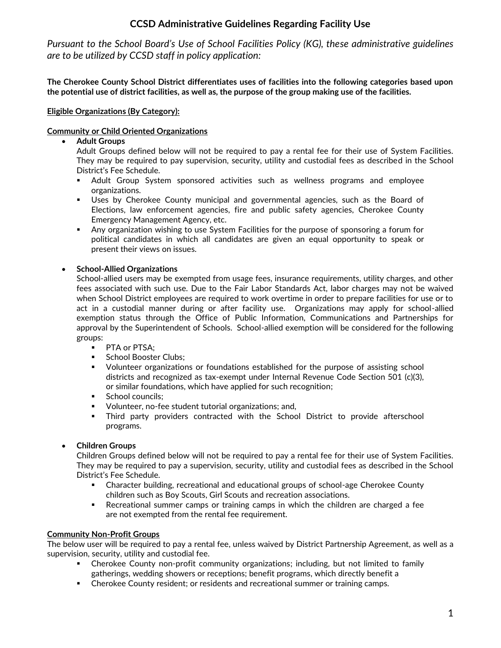*Pursuant to the School Board's Use of School Facilities Policy (KG), these administrative guidelines are to be utilized by CCSD staff in policy application:* 

**The Cherokee County School District differentiates uses of facilities into the following categories based upon the potential use of district facilities, as well as, the purpose of the group making use of the facilities.**

## **Eligible Organizations (By Category):**

## **Community or Child Oriented Organizations**

• **Adult Groups**

Adult Groups defined below will not be required to pay a rental fee for their use of System Facilities. They may be required to pay supervision, security, utility and custodial fees as described in the School District's Fee Schedule.

- Adult Group System sponsored activities such as wellness programs and employee organizations.
- **■** Uses by Cherokee County municipal and governmental agencies, such as the Board of Elections, law enforcement agencies, fire and public safety agencies, Cherokee County Emergency Management Agency, etc.
- **EXT** Any organization wishing to use System Facilities for the purpose of sponsoring a forum for political candidates in which all candidates are given an equal opportunity to speak or present their views on issues.

## • **School-Allied Organizations**

School-allied users may be exempted from usage fees, insurance requirements, utility charges, and other fees associated with such use. Due to the Fair Labor Standards Act, labor charges may not be waived when School District employees are required to work overtime in order to prepare facilities for use or to act in a custodial manner during or after facility use. Organizations may apply for school-allied exemption status through the Office of Public Information, Communications and Partnerships for approval by the Superintendent of Schools. School-allied exemption will be considered for the following groups:

- PTA or PTSA;
- School Booster Clubs;
- **•** Volunteer organizations or foundations established for the purpose of assisting school districts and recognized as tax-exempt under Internal Revenue Code Section 501 (c)(3), or similar foundations, which have applied for such recognition;
- **■** School councils;
- Volunteer, no-fee student tutorial organizations; and,
- Third party providers contracted with the School District to provide afterschool programs.

## • **Children Groups**

Children Groups defined below will not be required to pay a rental fee for their use of System Facilities. They may be required to pay a supervision, security, utility and custodial fees as described in the School District's Fee Schedule.

- **•** Character building, recreational and educational groups of school-age Cherokee County children such as Boy Scouts, Girl Scouts and recreation associations.
- Recreational summer camps or training camps in which the children are charged a fee are not exempted from the rental fee requirement.

## **Community Non-Profit Groups**

The below user will be required to pay a rental fee, unless waived by District Partnership Agreement, as well as a supervision, security, utility and custodial fee.

- Cherokee County non-profit community organizations; including, but not limited to family gatherings, wedding showers or receptions; benefit programs, which directly benefit a
- **EXECOURDER COUNTY resident; or residents and recreational summer or training camps.**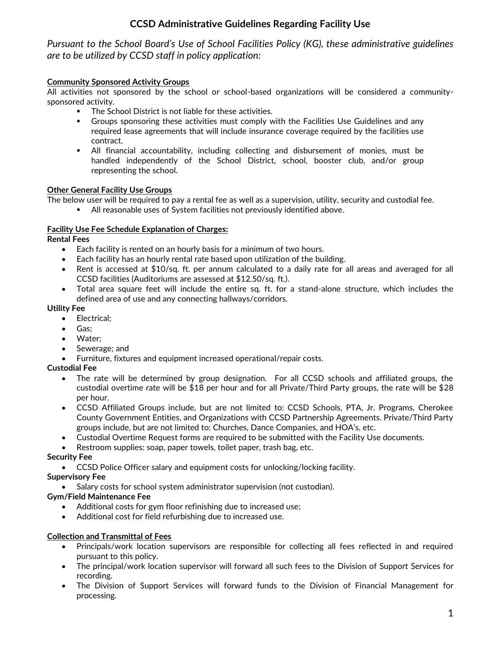*Pursuant to the School Board's Use of School Facilities Policy (KG), these administrative guidelines are to be utilized by CCSD staff in policy application:* 

## **Community Sponsored Activity Groups**

All activities not sponsored by the school or school-based organizations will be considered a communitysponsored activity.

- The School District is not liable for these activities.
- Groups sponsoring these activities must comply with the Facilities Use Guidelines and any required lease agreements that will include insurance coverage required by the facilities use contract.
- All financial accountability, including collecting and disbursement of monies, must be handled independently of the School District, school, booster club, and/or group representing the school.

#### **Other General Facility Use Groups**

The below user will be required to pay a rental fee as well as a supervision, utility, security and custodial fee.

▪ All reasonable uses of System facilities not previously identified above.

#### **Facility Use Fee Schedule Explanation of Charges:**

**Rental Fees**

- Each facility is rented on an hourly basis for a minimum of two hours.
- Each facility has an hourly rental rate based upon utilization of the building.
- Rent is accessed at \$10/sq. ft. per annum calculated to a daily rate for all areas and averaged for all CCSD facilities (Auditoriums are assessed at \$12.50/sq. ft.).
- Total area square feet will include the entire sq. ft. for a stand-alone structure, which includes the defined area of use and any connecting hallways/corridors.

#### **Utility Fee**

- Electrical;
- Gas;
- Water;
- Sewerage; and
- Furniture, fixtures and equipment increased operational/repair costs.

## **Custodial Fee**

- The rate will be determined by group designation. For all CCSD schools and affiliated groups, the custodial overtime rate will be \$18 per hour and for all Private/Third Party groups, the rate will be \$28 per hour.
- CCSD Affiliated Groups include, but are not limited to: CCSD Schools, PTA, Jr. Programs, Cherokee County Government Entities, and Organizations with CCSD Partnership Agreements. Private/Third Party groups include, but are not limited to: Churches, Dance Companies, and HOA's, etc.
- Custodial Overtime Request forms are required to be submitted with the Facility Use documents.
- Restroom supplies: soap, paper towels, toilet paper, trash bag, etc.

## **Security Fee**

• CCSD Police Officer salary and equipment costs for unlocking/locking facility.

## **Supervisory Fee**

• Salary costs for school system administrator supervision (not custodian).

## **Gym/Field Maintenance Fee**

- Additional costs for gym floor refinishing due to increased use;
- Additional cost for field refurbishing due to increased use.

## **Collection and Transmittal of Fees**

- Principals/work location supervisors are responsible for collecting all fees reflected in and required pursuant to this policy.
- The principal/work location supervisor will forward all such fees to the Division of Support Services for recording.
- The Division of Support Services will forward funds to the Division of Financial Management for processing.